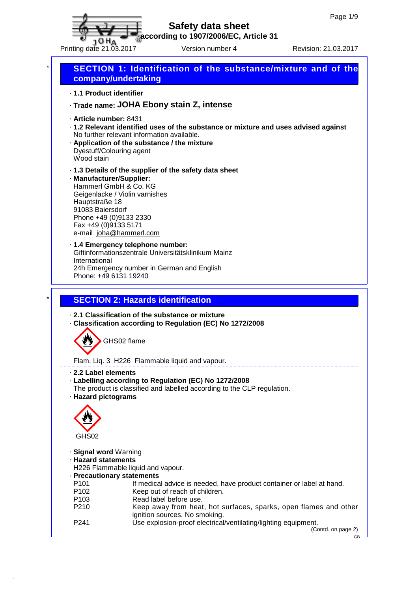

**according to 1907/2006/EC, Article 31**

Printing date 21.03.2017 Version number 4 Revision: 21.03.2017

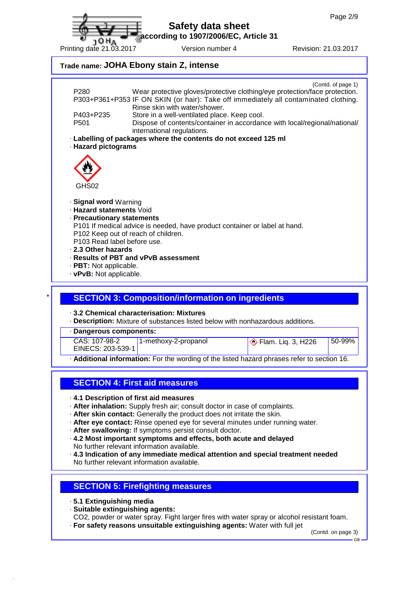**according to 1907/2006/EC, Article 31**

| 1 U FIA<br>Printing date 21.03.2017 |  |
|-------------------------------------|--|
|                                     |  |

Version number 4 Revision: 21.03.2017

# **Trade name: JOHA Ebony stain Z, intense** (Contd. of page 1) P280 Wear protective gloves/protective clothing/eye protection/face protection. P303+P361+P353 IF ON SKIN (or hair): Take off immediately all contaminated clothing. Rinse skin with water/shower. P403+P235 Store in a well-ventilated place. Keep cool. P501 Dispose of contents/container in accordance with local/regional/national/ international regulations. · **Labelling of packages where the contents do not exceed 125 ml** · **Hazard pictograms** GHS02 · **Signal word** Warning · **Hazard statements** Void · **Precautionary statements** P101 If medical advice is needed, have product container or label at hand. P102 Keep out of reach of children. P103 Read label before use. · **2.3 Other hazards** · **Results of PBT and vPvB assessment** · **PBT:** Not applicable. · **vPvB:** Not applicable. \* **SECTION 3: Composition/information on ingredients** · **3.2 Chemical characterisation: Mixtures** · **Description:** Mixture of substances listed below with nonhazardous additions. · **Dangerous components:** CAS: 107-98-2 EINECS: 203-539-1 1-methoxy-2-propanol  $\bigotimes$  Flam. Lig. 3, H226 50-99% · **Additional information:** For the wording of the listed hazard phrases refer to section 16. **SECTION 4: First aid measures** · **4.1 Description of first aid measures** · **After inhalation:** Supply fresh air; consult doctor in case of complaints. · **After skin contact:** Generally the product does not irritate the skin. · **After eye contact:** Rinse opened eye for several minutes under running water.

· **After swallowing:** If symptoms persist consult doctor.

- · **4.2 Most important symptoms and effects, both acute and delayed** No further relevant information available.
- · **4.3 Indication of any immediate medical attention and special treatment needed** No further relevant information available.

### **SECTION 5: Firefighting measures**

· **5.1 Extinguishing media**

· **Suitable extinguishing agents:**

CO2, powder or water spray. Fight larger fires with water spray or alcohol resistant foam.

· **For safety reasons unsuitable extinguishing agents:** Water with full jet

(Contd. on page 3)

GB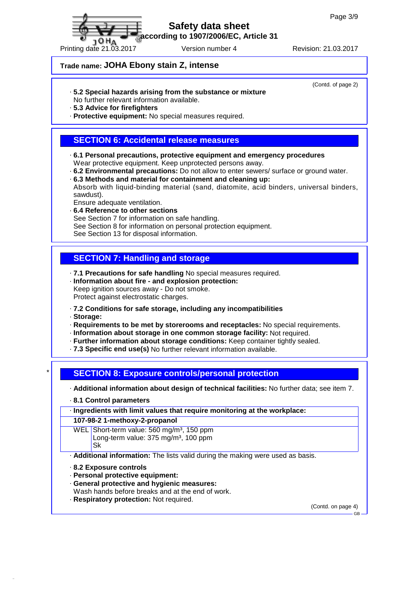**according to 1907/2006/EC, Article 31**

### **Trade name: JOHA Ebony stain Z, intense**

#### · **5.2 Special hazards arising from the substance or mixture**

No further relevant information available.

· **5.3 Advice for firefighters**

· **Protective equipment:** No special measures required.

### **SECTION 6: Accidental release measures**

· **6.1 Personal precautions, protective equipment and emergency procedures** Wear protective equipment. Keep unprotected persons away.

· **6.2 Environmental precautions:** Do not allow to enter sewers/ surface or ground water.

- · **6.3 Methods and material for containment and cleaning up:** Absorb with liquid-binding material (sand, diatomite, acid binders, universal binders,
- sawdust). Ensure adequate ventilation.
- · **6.4 Reference to other sections** See Section 7 for information on safe handling. See Section 8 for information on personal protection equipment. See Section 13 for disposal information.

# **SECTION 7: Handling and storage**

- · **7.1 Precautions for safe handling** No special measures required. · **Information about fire - and explosion protection:**
- Keep ignition sources away Do not smoke.
- Protect against electrostatic charges.
- · **7.2 Conditions for safe storage, including any incompatibilities**
- · **Storage:**
- · **Requirements to be met by storerooms and receptacles:** No special requirements.
- · **Information about storage in one common storage facility:** Not required.
- · **Further information about storage conditions:** Keep container tightly sealed.
- · **7.3 Specific end use(s)** No further relevant information available.

### \* **SECTION 8: Exposure controls/personal protection**

· **Additional information about design of technical facilities:** No further data; see item 7.

· **8.1 Control parameters**

#### · **Ingredients with limit values that require monitoring at the workplace:**

**107-98-2 1-methoxy-2-propanol**

WEL Short-term value: 560 mg/m<sup>3</sup>, 150 ppm Long-term value: 375 mg/m<sup>3</sup>, 100 ppm Sk

· **Additional information:** The lists valid during the making were used as basis.

- · **8.2 Exposure controls**
- · **Personal protective equipment:**
- · **General protective and hygienic measures:**
- Wash hands before breaks and at the end of work.
- · **Respiratory protection:** Not required.

(Contd. on page 4)

GB



(Contd. of page 2)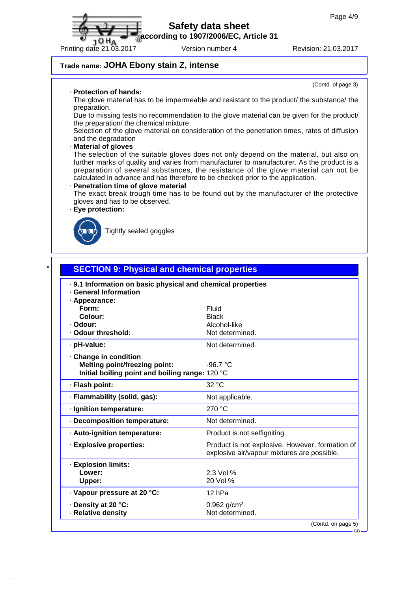**according to 1907/2006/EC, Article 31**

Printing date 21.03.2017 Version number 4 Revision: 21.03.2017

(Contd. of page 3)

### **Trade name: JOHA Ebony stain Z, intense**

· **Protection of hands:**

**JOHA** 

The glove material has to be impermeable and resistant to the product/ the substance/ the preparation.

Due to missing tests no recommendation to the glove material can be given for the product/ the preparation/ the chemical mixture.

Selection of the glove material on consideration of the penetration times, rates of diffusion and the degradation

#### · **Material of gloves**

The selection of the suitable gloves does not only depend on the material, but also on further marks of quality and varies from manufacturer to manufacturer. As the product is a preparation of several substances, the resistance of the glove material can not be calculated in advance and has therefore to be checked prior to the application.

#### · **Penetration time of glove material**

The exact break trough time has to be found out by the manufacturer of the protective gloves and has to be observed.

#### · **Eye protection:**



Tightly sealed goggles

| . 9.1 Information on basic physical and chemical properties<br>· General Information |                                                 |  |  |  |
|--------------------------------------------------------------------------------------|-------------------------------------------------|--|--|--|
| · Appearance:                                                                        |                                                 |  |  |  |
| Form:                                                                                | Fluid                                           |  |  |  |
| Colour:                                                                              | <b>Black</b>                                    |  |  |  |
| · Odour:                                                                             | Alcohol-like                                    |  |  |  |
| · Odour threshold:                                                                   | Not determined.                                 |  |  |  |
| · pH-value:                                                                          | Not determined.                                 |  |  |  |
| Change in condition                                                                  |                                                 |  |  |  |
| <b>Melting point/freezing point:</b>                                                 | $-96.7 °C$                                      |  |  |  |
| Initial boiling point and boiling range: 120 °C                                      |                                                 |  |  |  |
| · Flash point:                                                                       | 32 °C                                           |  |  |  |
| · Flammability (solid, gas):                                                         | Not applicable.                                 |  |  |  |
| · Ignition temperature:                                                              | 270 °C                                          |  |  |  |
| · Decomposition temperature:                                                         | Not determined.                                 |  |  |  |
| · Auto-ignition temperature:                                                         | Product is not selfigniting.                    |  |  |  |
| · Explosive properties:                                                              | Product is not explosive. However, formation of |  |  |  |
|                                                                                      | explosive air/vapour mixtures are possible.     |  |  |  |
| · Explosion limits:                                                                  |                                                 |  |  |  |
| Lower:                                                                               | 2.3 Vol %                                       |  |  |  |
| Upper:                                                                               | 20 Vol %                                        |  |  |  |
| · Vapour pressure at 20 °C:                                                          | 12 hPa                                          |  |  |  |
| · Density at 20 °C:                                                                  | $0.962$ g/cm <sup>3</sup>                       |  |  |  |
| · Relative density                                                                   | Not determined.                                 |  |  |  |

(Contd. on page 5) GB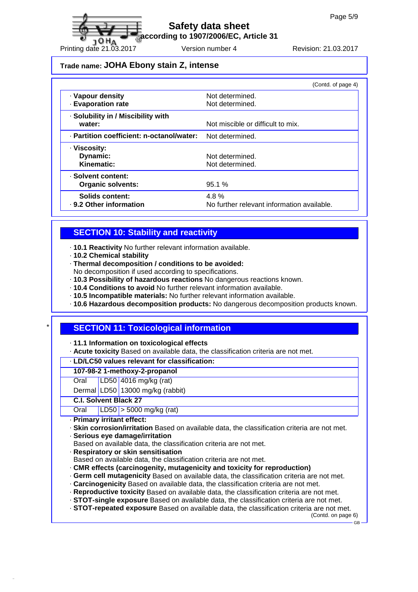**according to 1907/2006/EC, Article 31**

Printing date 21.03.2017 Version number 4 Revision: 21.03.2017

### **Trade name: JOHA Ebony stain Z, intense**

|                                           | (Contd. of page 4)                         |
|-------------------------------------------|--------------------------------------------|
| · Vapour density                          | Not determined.                            |
| <b>Evaporation rate</b>                   | Not determined.                            |
| · Solubility in / Miscibility with        |                                            |
| water:                                    | Not miscible or difficult to mix.          |
| · Partition coefficient: n-octanol/water: | Not determined.                            |
| · Viscosity:                              |                                            |
| Dynamic:                                  | Not determined.                            |
| Kinematic:                                | Not determined.                            |
| · Solvent content:                        |                                            |
| <b>Organic solvents:</b>                  | 95.1%                                      |
| Solids content:                           | 4.8%                                       |
| . 9.2 Other information                   | No further relevant information available. |

### **SECTION 10: Stability and reactivity**

- · **10.1 Reactivity** No further relevant information available.
- · **10.2 Chemical stability**
- · **Thermal decomposition / conditions to be avoided:**
- No decomposition if used according to specifications.
- · **10.3 Possibility of hazardous reactions** No dangerous reactions known.
- · **10.4 Conditions to avoid** No further relevant information available.
- · **10.5 Incompatible materials:** No further relevant information available.
- · **10.6 Hazardous decomposition products:** No dangerous decomposition products known.

## **SECTION 11: Toxicological information**

- · **11.1 Information on toxicological effects**
- · **Acute toxicity** Based on available data, the classification criteria are not met.

#### · **LD/LC50 values relevant for classification:**

#### **107-98-2 1-methoxy-2-propanol**

- Oral LD50 4016 mg/kg (rat)
- Dermal LD50 13000 mg/kg (rabbit)

#### **C.I. Solvent Black 27**

Oral LD50 > 5000 mg/kg (rat)

- · **Primary irritant effect:**
- · **Skin corrosion/irritation** Based on available data, the classification criteria are not met.
- · **Serious eye damage/irritation**
- Based on available data, the classification criteria are not met.
- · **Respiratory or skin sensitisation**
- Based on available data, the classification criteria are not met.
- · **CMR effects (carcinogenity, mutagenicity and toxicity for reproduction)**
- · **Germ cell mutagenicity** Based on available data, the classification criteria are not met.
- · **Carcinogenicity** Based on available data, the classification criteria are not met.
- · **Reproductive toxicity** Based on available data, the classification criteria are not met.
- · **STOT-single exposure** Based on available data, the classification criteria are not met.
- · **STOT-repeated exposure** Based on available data, the classification criteria are not met.

(Contd. on page 6) GB

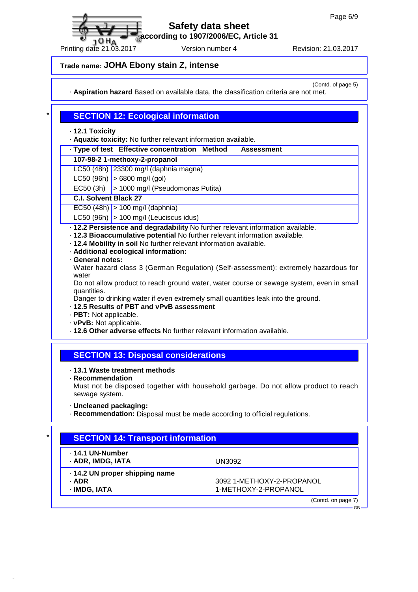**according to 1907/2006/EC, Article 31**

Printing date 21.03.2017 Version number 4 Revision: 21.03.2017

**Trade name: JOHA Ebony stain Z, intense**

(Contd. of page 5)

GB

· **Aspiration hazard** Based on available data, the classification criteria are not met.

### **SECTION 12: Ecological information**

· **12.1 Toxicity**

10<sub>HA</sub>

· **Aquatic toxicity:** No further relevant information available.

#### · **Type of test Effective concentration Method Assessment**

#### **107-98-2 1-methoxy-2-propanol**

- LC50 (48h) 23300 mg/l (daphnia magna)
- $LC50$  (96h)  $> 6800$  mg/l (gol)
- EC50 (3h)  $\vert$  > 1000 mg/l (Pseudomonas Putita)

#### **C.I. Solvent Black 27**

 $|EC50 (48h)| > 100$  mg/l (daphnia)

- LC50 (96h)  $\vert$  > 100 mg/l (Leuciscus idus)
- · **12.2 Persistence and degradability** No further relevant information available.
- · **12.3 Bioaccumulative potential** No further relevant information available.
- · **12.4 Mobility in soil** No further relevant information available.
- · **Additional ecological information:**
- · **General notes:**
- Water hazard class 3 (German Regulation) (Self-assessment): extremely hazardous for water
- Do not allow product to reach ground water, water course or sewage system, even in small quantities.

Danger to drinking water if even extremely small quantities leak into the ground.

#### · **12.5 Results of PBT and vPvB assessment**

- · **PBT:** Not applicable.
- · **vPvB:** Not applicable.
- · **12.6 Other adverse effects** No further relevant information available.

## **SECTION 13: Disposal considerations**

#### · **13.1 Waste treatment methods**

· **Recommendation**

Must not be disposed together with household garbage. Do not allow product to reach sewage system.

- · **Uncleaned packaging:**
- · **Recommendation:** Disposal must be made according to official regulations.

## **SECTION 14: Transport information**

| ⋅ 14.1 UN-Number<br>· ADR, IMDG, IATA                 | UN3092                                            |
|-------------------------------------------------------|---------------------------------------------------|
| 14.2 UN proper shipping name<br>· ADR<br>· IMDG, IATA | 3092 1-METHOXY-2-PROPANOL<br>1-METHOXY-2-PROPANOL |
|                                                       | (Contd. on page 7)                                |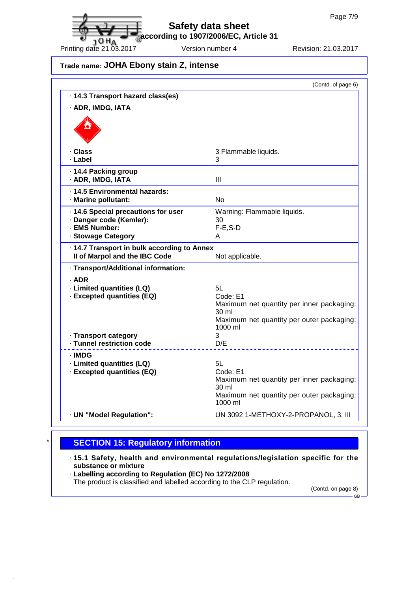**according to 1907/2006/EC, Article 31**

**Trade name: JOHA Ebony stain Z, intense**

|                                                                                                       | (Contd. of page 6)                                                                                                           |
|-------------------------------------------------------------------------------------------------------|------------------------------------------------------------------------------------------------------------------------------|
| · 14.3 Transport hazard class(es)                                                                     |                                                                                                                              |
| · ADR, IMDG, IATA                                                                                     |                                                                                                                              |
|                                                                                                       |                                                                                                                              |
| · Class<br>· Label                                                                                    | 3 Flammable liquids.<br>3                                                                                                    |
| · 14.4 Packing group<br>· ADR, IMDG, IATA                                                             | Ш                                                                                                                            |
| · 14.5 Environmental hazards:<br>· Marine pollutant:                                                  | <b>No</b>                                                                                                                    |
| · 14.6 Special precautions for user<br>· Danger code (Kemler):<br>· EMS Number:<br>· Stowage Category | Warning: Flammable liquids.<br>30<br>$F-E$ , S-D<br>A                                                                        |
| · 14.7 Transport in bulk according to Annex<br>Il of Marpol and the IBC Code                          | Not applicable.                                                                                                              |
| · Transport/Additional information:                                                                   |                                                                                                                              |
| · ADR<br>· Limited quantities (LQ)<br>· Excepted quantities (EQ)                                      | 5L<br>Code: E1<br>Maximum net quantity per inner packaging:<br>30 ml<br>Maximum net quantity per outer packaging:<br>1000 ml |
| · Transport category<br>· Tunnel restriction code                                                     | 3<br>D/E                                                                                                                     |
| · IMDG<br>· Limited quantities (LQ)<br>· Excepted quantities (EQ)                                     | 5L<br>Code: E1<br>Maximum net quantity per inner packaging:<br>30 ml<br>Maximum net quantity per outer packaging:<br>1000 ml |
| · UN "Model Regulation":                                                                              | UN 3092 1-METHOXY-2-PROPANOL, 3, III                                                                                         |

## **SECTION 15: Regulatory information**

· **15.1 Safety, health and environmental regulations/legislation specific for the substance or mixture**

· **Labelling according to Regulation (EC) No 1272/2008**

The product is classified and labelled according to the CLP regulation.

(Contd. on page 8) GB

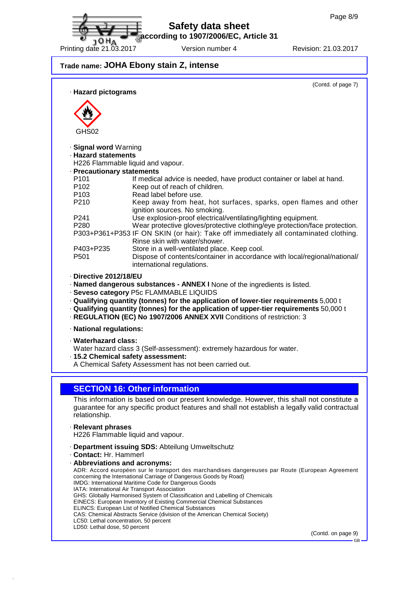**according to 1907/2006/EC, Article 31**

**JOHA** 

Printing date 21.03.2017 Version number 4 Revision: 21.03.2017